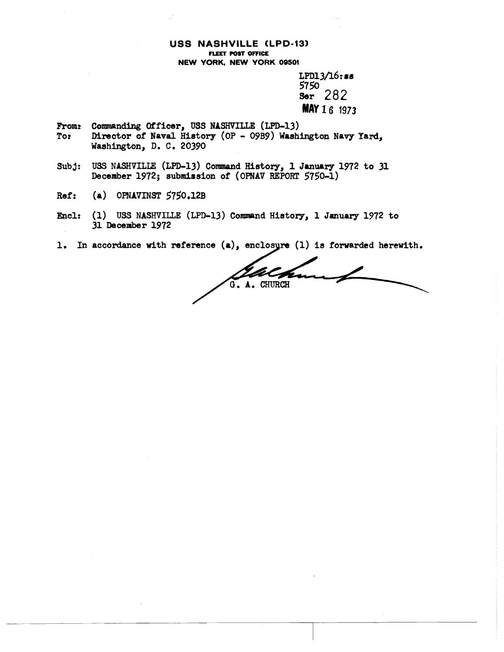#### **USS NASHVILLE CLPD-13) FLEET POST OFFICE NEW YORK, NEW YORK 09501**

 $LPD13/16$ : ss 5750 282 **Ser MAY 16 1973** 

- **From: Commanding Officer, USS NASHVILLE (LPD-13)**<br>To: Director of Naval History (OP O9B9) Wash: Director of Naval History (OP - 09B9) Washington Navy Yard, **Washington, D, C, 20390**
- **Subj: USS NASHVILLE (LPD-13) Command History, 1 January 1972 to 31 December 1972; aubmisaion of (oPNAv REPORT 5750-1)**
- **Ref:** (a) OPNAVINST 5750.12B
- **Encl:** (1) USS NASHVILLE (LPD-13) Command History, 1 January 1972 to **31 December 1972**
- 1. In accordance with reference (a), enclosyre (1) is forwarded herewith.

G. A. CHURCH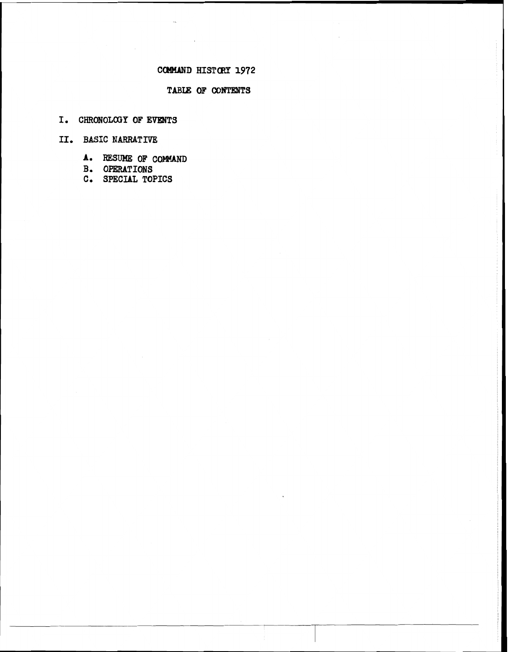# CCP4MAND **HISTCRY 1972**

### **TABLE OF CONTENTS**

I. CHRONOLOGY OF EVENTS

**11. BASIC NARRATIVE** 

- **A.** RESUME OF COMMAND
- **B. OFBRATIONS**
- **C. SPECIAL TOPICS**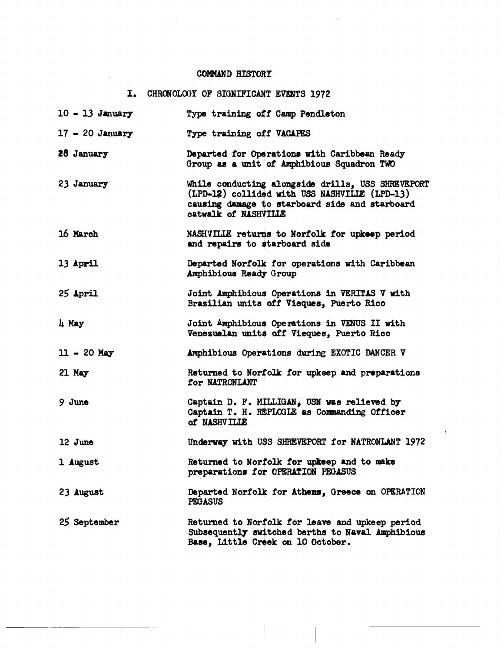## COMMAND HISTORY

# I. CHRONOLOGY OF SIGNIFICANT EVENTS 1972

| $10 - 13$ January | Type training off Camp Pendleton                                                                                                                                             |
|-------------------|------------------------------------------------------------------------------------------------------------------------------------------------------------------------------|
| $17 - 20$ January | Type training off VACAPES                                                                                                                                                    |
| 28 January        | Departed for Operations with Caribbean Ready<br>Group as a unit of Amphibious Squadron TWO                                                                                   |
| 23 January        | While conducting alongside drills, USS SHREVEPORT<br>(LPD-12) collided with USS NASHVILLE (LPD-13)<br>causing damage to starboard side and starboard<br>catwalk of NASHVILLE |
| 16 March          | NASHVILLE returns to Norfolk for upkeep period<br>and repairs to starboard side                                                                                              |
| 13 April          | Departed Norfolk for operations with Caribbean<br>Amphibious Ready Group                                                                                                     |
| 25 April          | Joint Amphibious Operations in VERITAS V with<br>Brazilian units off Vieques, Puerto Rico                                                                                    |
| 4 May             | Joint Amphibious Operations in VENUS II with<br>Venezuelan units off Vieques, Puerto Rico                                                                                    |
| $11 - 20$ May     | Amphibious Operations during EXOTIC DANCER V                                                                                                                                 |
| 21 May            | Returned to Norfolk for upkeep and preparations<br>for NATRONLANT                                                                                                            |
| $9$ June          | Captain D. F. MILLIGAN, USN was relieved by<br>Captain T. H. REPLOGLE as Commanding Officer<br>of NASHVILLE                                                                  |
| 12 June           | Underway with USS SHREVEPORT for NATRONLANT 1972                                                                                                                             |
| 1 August          | Returned to Norfolk for upkeep and to make<br>preparations for OPERATION PEGASUS                                                                                             |
| 23 August         | Departed Norfolk for Athens, Greece on OPERATION<br><b>PEGASUS</b>                                                                                                           |
| 25 September      | Returned to Norfolk for leave and upkeep period<br>Subsequently switched berths to Naval Amphibious<br>Base, Little Creek on 10 October.                                     |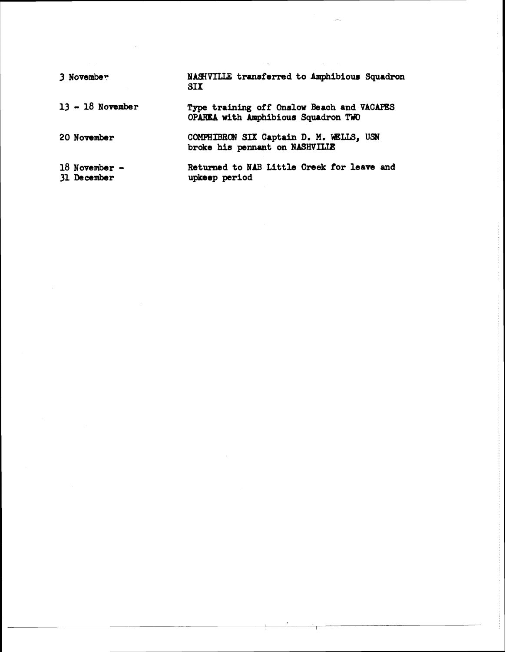**3 Novembe\* NASIVIUE transtorred to Amphibious Squadron SIX** 

13 - 18 November Type training off Onslow Beach and VACAPES

**20 November COMPHIBRON SIX Captain D. M. WELLS, USN** broke his pennant on NASHVILLE

**OPARlU with hpbibiour Squadron TWO** 

**18 November** - **Returned to NAB Little Creek for leave and 31 December upkeep period**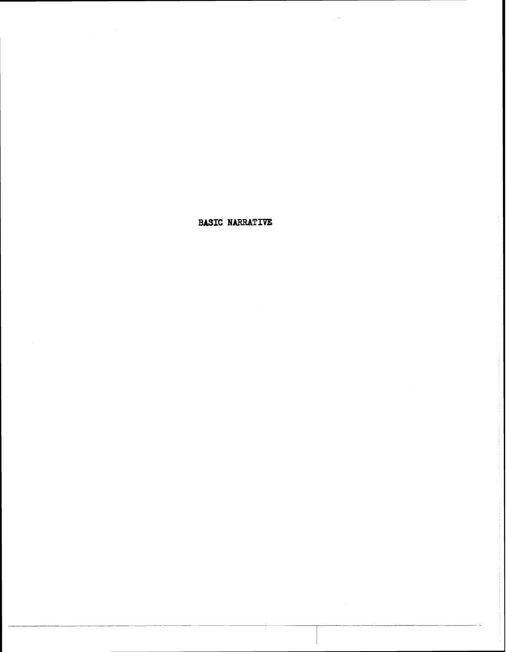## **BASIC NARRATIVE**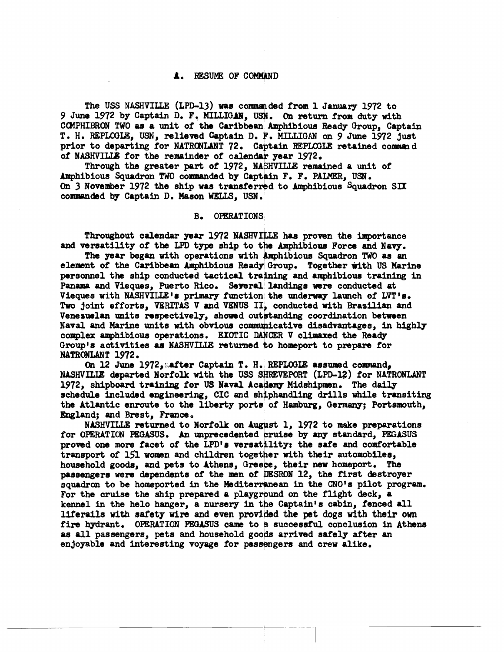#### **A.** RESUME OF COMMAND

The USS NASHVILLE (LPD-13) was commanded from 1 January 1972 to **<sup>9</sup>**June 1972 by Captain **D. F. MILLI(IAN3 . On** return from duty with COMPHIBRON TWO as a unit of the Caribbean Amphibious Ready Group, Captain T. H. REPLOGLE, USN, relieved Captain D. F. MILLIGAN on 9 June 1972 just prior to departing for NATRONLANT 72. Captain REPLOGLE retained command of **NASHVILLE** for the remainder of calendar year 1972.

Through the greater part of 1972, NASHVILLE remained a unit of Amphibious Squadron TWO commanded by Captain F. F. PALMER, USN. On 3 November 1972 the ship was transferred to Amphibious Squadron SIX commanded by Captain D. Mason WELLS, USN.

#### **B. OPERATIONS**

Throughout calendar **year** 1972 NASHVILLE has proven the importance ersatility of the LPD type ship to the Amphibious Force and Navy. The year began with operations with Amphibious Squadron TWO as an int of the Caribbean A Throughout calendar year 1972 NASHVILLE has proven the importance<br>and versatility of the LPD type ship to the Amphibious Force and Navy.

**The** year **began** with operationa with hibious Squadron TWO as **an**  element of the Caribbean Amphibious Ready Group. Together with US Marine personnel the ship conducted tactical training and amphibious training in Panama and Vieques, Puerto Rico. Several landings were conducted at Vieques with NASHVILLE's primary function the underway launch of LVT's. Two joint efforts, **VERITAS V** and **VENUS II**, conducted with Brazilian and Venezuelan units respectively, showed outstanding coordination between Naval and Marine units with obvious communicative disadvantages, in highly complex amphibious operations. EXOTIC DANCER V climaxed the Ready Group's activities as NASHVILLE returned to homeport to prepare for NATRONLANT 1972.

On 12 June 1972, after Captain T. H. **REPLOGLE** assumed command, **NASHVILLE** departed Norfolk with the USS SHREVEPORT (LPD-12) for NATRONLANT 1972, shipboard training for US Naval Academy Midshipmen. The daily NASHVILLE departed Norfolk with the USS SHREVEPORT (LPD-12) for NATRO<br>1972, shipboard training for US Naval Academy Midshipmen. The daily<br>schedule included engineering, CIC and shiphandling drills while tran<br>the Atlantic e schedule included engineering, CIC and shiphandling drills while transiting the Atlantic enroute to the liberty port8 of Hamburg, Germany; Portsmouth, England; and Bmst, **France,** 

NASHVILLE returned to lorfolk on Awst 1, 1972 to **make** preparations for OPERATION PEGASUS. An unprecedented cruise by any standard, PEGASUS proved one more facet of the LPD's versatility: the safe and comfortable transport of 151 women and children together with their automobiles, household goods, and pets to Athens, Greece, their new homeport. The passengers were dependents of the men of DESRON 12, the first destroyer squadron to be homeported in the Mediterranean in the CNO<sup>1</sup>s pilot program. For the cruise the ship prepared a playground on the flight deck, a kennel in the helo hanger, a nursery in the Captain's cabin, fenced all **liferails with safety wire and even provided the pet dogs with their own** fire hydrant. OPERATION PEGASUS came to a successful conclusion in Athens as all passengers, pets and household goods arrived safely after an enjoyable and interesting voyage for pasamgers and **crew** alike,